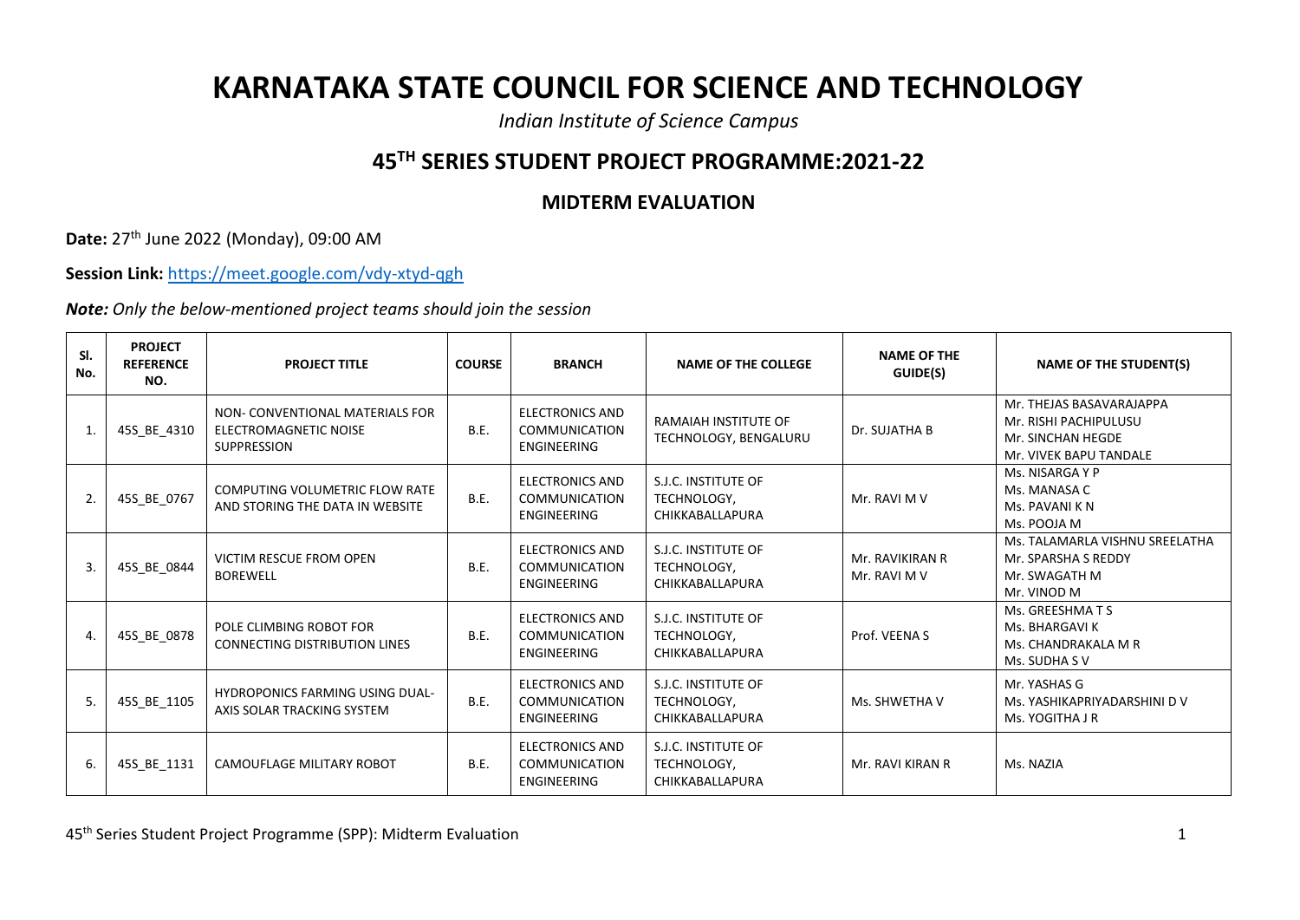## **KARNATAKA STATE COUNCIL FOR SCIENCE AND TECHNOLOGY**

*Indian Institute of Science Campus*

## **45TH SERIES STUDENT PROJECT PROGRAMME:2021-22**

## **MIDTERM EVALUATION**

**Date:** 27th June 2022 (Monday), 09:00 AM

**Session Link:** <https://meet.google.com/vdy-xtyd-qgh>

*Note: Only the below-mentioned project teams should join the session*

| SI.<br>No.       | <b>PROJECT</b><br><b>REFERENCE</b><br>NO. | <b>PROJECT TITLE</b>                                                           | <b>COURSE</b> | <b>BRANCH</b>                                                        | <b>NAME OF THE COLLEGE</b>                            | <b>NAME OF THE</b><br>GUIDE(S)  | <b>NAME OF THE STUDENT(S)</b>                                                                    |
|------------------|-------------------------------------------|--------------------------------------------------------------------------------|---------------|----------------------------------------------------------------------|-------------------------------------------------------|---------------------------------|--------------------------------------------------------------------------------------------------|
| 1.               | 45S_BE_4310                               | NON- CONVENTIONAL MATERIALS FOR<br>ELECTROMAGNETIC NOISE<br><b>SUPPRESSION</b> | B.E.          | <b>ELECTRONICS AND</b><br><b>COMMUNICATION</b><br><b>ENGINEERING</b> | <b>RAMAIAH INSTITUTE OF</b><br>TECHNOLOGY, BENGALURU  | Dr. SUJATHA B                   | Mr. THEJAS BASAVARAJAPPA<br>Mr. RISHI PACHIPULUSU<br>Mr. SINCHAN HEGDE<br>Mr. VIVEK BAPU TANDALE |
| 2.               | 45S_BE_0767                               | COMPUTING VOLUMETRIC FLOW RATE<br>AND STORING THE DATA IN WEBSITE              | <b>B.E.</b>   | <b>ELECTRONICS AND</b><br><b>COMMUNICATION</b><br><b>ENGINEERING</b> | S.J.C. INSTITUTE OF<br>TECHNOLOGY,<br>CHIKKABALLAPURA | Mr. RAVI M V                    | Ms. NISARGA Y P<br>Ms. MANASA C<br>Ms. PAVANI K N<br>Ms. POOJA M                                 |
| $\overline{3}$ . | 45S_BE_0844                               | VICTIM RESCUE FROM OPEN<br><b>BOREWELL</b>                                     | B.E.          | <b>ELECTRONICS AND</b><br><b>COMMUNICATION</b><br>ENGINEERING        | S.J.C. INSTITUTE OF<br>TECHNOLOGY,<br>CHIKKABALLAPURA | Mr. RAVIKIRAN R<br>Mr. RAVI M V | Ms. TALAMARLA VISHNU SREELATHA<br>Mr. SPARSHA S REDDY<br>Mr. SWAGATH M<br>Mr. VINOD M            |
| 4.               | 45S_BE_0878                               | POLE CLIMBING ROBOT FOR<br><b>CONNECTING DISTRIBUTION LINES</b>                | B.E.          | <b>ELECTRONICS AND</b><br><b>COMMUNICATION</b><br><b>ENGINEERING</b> | S.J.C. INSTITUTE OF<br>TECHNOLOGY,<br>CHIKKABALLAPURA | Prof. VEENA S                   | Ms. GREESHMATS<br>Ms. BHARGAVI K<br>Ms. CHANDRAKALA M R<br>Ms. SUDHA S V                         |
| 5.               | 45S BE 1105                               | <b>HYDROPONICS FARMING USING DUAL-</b><br>AXIS SOLAR TRACKING SYSTEM           | B.E.          | <b>ELECTRONICS AND</b><br><b>COMMUNICATION</b><br><b>ENGINEERING</b> | S.J.C. INSTITUTE OF<br>TECHNOLOGY,<br>CHIKKABALLAPURA | Ms. SHWETHA V                   | Mr. YASHAS G<br>Ms. YASHIKAPRIYADARSHINI DV<br>Ms. YOGITHA J R                                   |
| 6.               | 45S BE 1131                               | CAMOUFLAGE MILITARY ROBOT                                                      | B.E.          | <b>ELECTRONICS AND</b><br><b>COMMUNICATION</b><br><b>ENGINEERING</b> | S.J.C. INSTITUTE OF<br>TECHNOLOGY,<br>CHIKKABALLAPURA | Mr. RAVI KIRAN R                | Ms. NAZIA                                                                                        |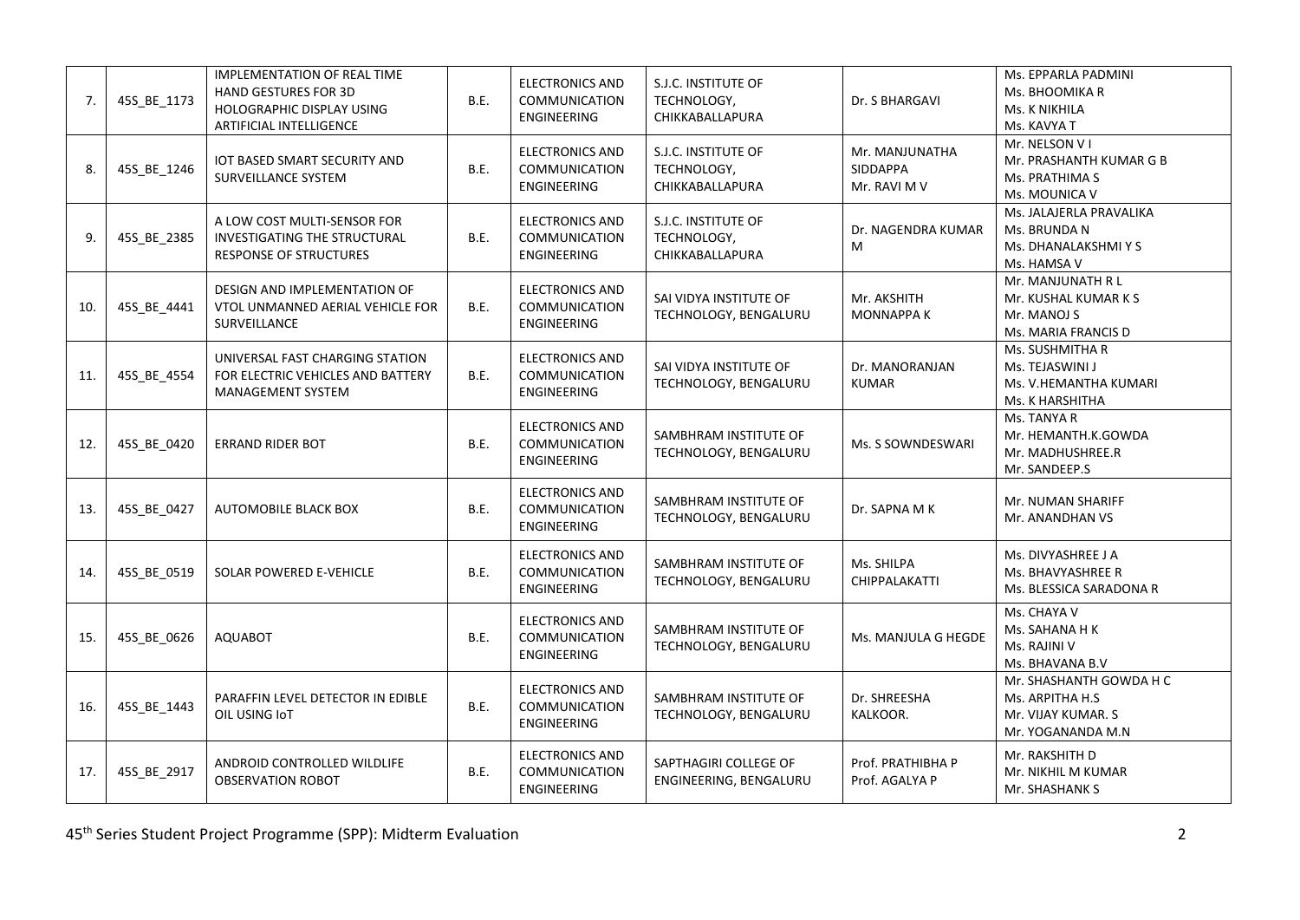| 7.  | 45S_BE_1173 | <b>IMPLEMENTATION OF REAL TIME</b><br><b>HAND GESTURES FOR 3D</b><br>HOLOGRAPHIC DISPLAY USING<br>ARTIFICIAL INTELLIGENCE | <b>B.E.</b> | <b>ELECTRONICS AND</b><br>COMMUNICATION<br>ENGINEERING        | S.J.C. INSTITUTE OF<br>TECHNOLOGY,<br>CHIKKABALLAPURA | Dr. S BHARGAVI                             | Ms. EPPARLA PADMINI<br>Ms. BHOOMIKA R<br>Ms. K NIKHILA<br>Ms. KAVYA T                 |
|-----|-------------|---------------------------------------------------------------------------------------------------------------------------|-------------|---------------------------------------------------------------|-------------------------------------------------------|--------------------------------------------|---------------------------------------------------------------------------------------|
| 8.  | 45S_BE_1246 | IOT BASED SMART SECURITY AND<br>SURVEILLANCE SYSTEM                                                                       | B.E.        | <b>ELECTRONICS AND</b><br>COMMUNICATION<br><b>ENGINEERING</b> | S.J.C. INSTITUTE OF<br>TECHNOLOGY,<br>CHIKKABALLAPURA | Mr. MANJUNATHA<br>SIDDAPPA<br>Mr. RAVI M V | Mr. NELSON V I<br>Mr. PRASHANTH KUMAR G B<br>Ms. PRATHIMA S<br>Ms. MOUNICA V          |
| 9.  | 45S_BE_2385 | A LOW COST MULTI-SENSOR FOR<br>INVESTIGATING THE STRUCTURAL<br>RESPONSE OF STRUCTURES                                     | B.E.        | <b>ELECTRONICS AND</b><br>COMMUNICATION<br><b>ENGINEERING</b> | S.J.C. INSTITUTE OF<br>TECHNOLOGY,<br>CHIKKABALLAPURA | Dr. NAGENDRA KUMAR<br>M                    | Ms. JALAJERLA PRAVALIKA<br>Ms. BRUNDA N<br>Ms. DHANALAKSHMI Y S<br>Ms. HAMSA V        |
| 10. | 45S_BE_4441 | DESIGN AND IMPLEMENTATION OF<br>VTOL UNMANNED AERIAL VEHICLE FOR<br>SURVEILLANCE                                          | B.E.        | <b>ELECTRONICS AND</b><br>COMMUNICATION<br><b>ENGINEERING</b> | SAI VIDYA INSTITUTE OF<br>TECHNOLOGY, BENGALURU       | Mr. AKSHITH<br><b>MONNAPPA K</b>           | Mr. MANJUNATH R L<br>Mr. KUSHAL KUMAR K S<br>Mr. MANOJ S<br>Ms. MARIA FRANCIS D       |
| 11. | 45S_BE_4554 | UNIVERSAL FAST CHARGING STATION<br>FOR ELECTRIC VEHICLES AND BATTERY<br>MANAGEMENT SYSTEM                                 | B.E.        | <b>ELECTRONICS AND</b><br>COMMUNICATION<br><b>ENGINEERING</b> | SAI VIDYA INSTITUTE OF<br>TECHNOLOGY, BENGALURU       | Dr. MANORANJAN<br><b>KUMAR</b>             | Ms. SUSHMITHA R<br>Ms. TEJASWINI J<br>Ms. V.HEMANTHA KUMARI<br>Ms. K HARSHITHA        |
| 12. | 45S_BE_0420 | <b>ERRAND RIDER BOT</b>                                                                                                   | <b>B.E.</b> | <b>ELECTRONICS AND</b><br>COMMUNICATION<br>ENGINEERING        | SAMBHRAM INSTITUTE OF<br>TECHNOLOGY, BENGALURU        | Ms. S SOWNDESWARI                          | Ms. TANYA R<br>Mr. HEMANTH.K.GOWDA<br>Mr. MADHUSHREE.R<br>Mr. SANDEEP.S               |
| 13. | 45S_BE_0427 | <b>AUTOMOBILE BLACK BOX</b>                                                                                               | B.E.        | <b>ELECTRONICS AND</b><br>COMMUNICATION<br><b>ENGINEERING</b> | SAMBHRAM INSTITUTE OF<br>TECHNOLOGY, BENGALURU        | Dr. SAPNA M K                              | Mr. NUMAN SHARIFF<br>Mr. ANANDHAN VS                                                  |
| 14. | 45S_BE_0519 | SOLAR POWERED E-VEHICLE                                                                                                   | <b>B.E.</b> | <b>ELECTRONICS AND</b><br>COMMUNICATION<br><b>ENGINEERING</b> | SAMBHRAM INSTITUTE OF<br>TECHNOLOGY, BENGALURU        | Ms. SHILPA<br>CHIPPALAKATTI                | Ms. DIVYASHREE J A<br>Ms. BHAVYASHREE R<br>Ms. BLESSICA SARADONA R                    |
| 15. | 45S BE 0626 | <b>AQUABOT</b>                                                                                                            | <b>B.E.</b> | <b>ELECTRONICS AND</b><br>COMMUNICATION<br><b>ENGINEERING</b> | SAMBHRAM INSTITUTE OF<br>TECHNOLOGY, BENGALURU        | Ms. MANJULA G HEGDE                        | Ms. CHAYA V<br>Ms. SAHANA H K<br>Ms. RAJINI V<br>Ms. BHAVANA B.V                      |
| 16. | 45S_BE_1443 | PARAFFIN LEVEL DETECTOR IN EDIBLE<br>OIL USING IoT                                                                        | <b>B.E.</b> | <b>ELECTRONICS AND</b><br>COMMUNICATION<br><b>ENGINEERING</b> | SAMBHRAM INSTITUTE OF<br>TECHNOLOGY, BENGALURU        | Dr. SHREESHA<br>KALKOOR.                   | Mr. SHASHANTH GOWDA H C<br>Ms. ARPITHA H.S<br>Mr. VIJAY KUMAR. S<br>Mr. YOGANANDA M.N |
| 17. | 45S_BE_2917 | ANDROID CONTROLLED WILDLIFE<br><b>OBSERVATION ROBOT</b>                                                                   | <b>B.E.</b> | <b>ELECTRONICS AND</b><br>COMMUNICATION<br><b>ENGINEERING</b> | SAPTHAGIRI COLLEGE OF<br>ENGINEERING, BENGALURU       | Prof. PRATHIBHA P<br>Prof. AGALYA P        | Mr. RAKSHITH D<br>Mr. NIKHIL M KUMAR<br>Mr. SHASHANK S                                |